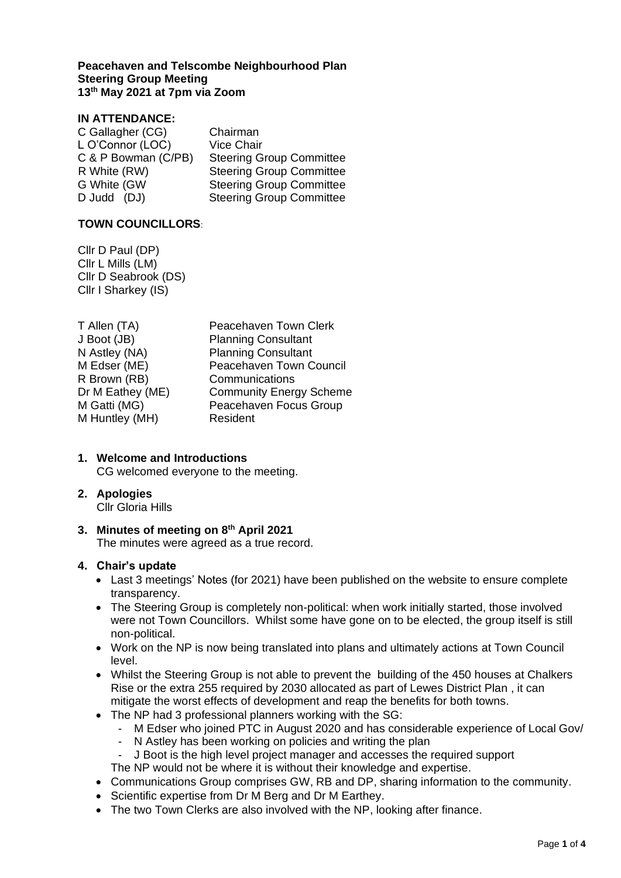#### **Peacehaven and Telscombe Neighbourhood Plan Steering Group Meeting 13th May 2021 at 7pm via Zoom**

# **IN ATTENDANCE:**

| Chairman                        |
|---------------------------------|
| <b>Vice Chair</b>               |
| <b>Steering Group Committee</b> |
| <b>Steering Group Committee</b> |
| <b>Steering Group Committee</b> |
| <b>Steering Group Committee</b> |
|                                 |

### **TOWN COUNCILLORS**:

Cllr D Paul (DP) Cllr L Mills (LM) Cllr D Seabrook (DS) Cllr I Sharkey (IS)

| T Allen (TA)     | Peacehaven Town Clerk          |
|------------------|--------------------------------|
| J Boot (JB)      | <b>Planning Consultant</b>     |
| N Astley (NA)    | <b>Planning Consultant</b>     |
| M Edser (ME)     | Peacehaven Town Council        |
| R Brown (RB)     | Communications                 |
| Dr M Eathey (ME) | <b>Community Energy Scheme</b> |
| M Gatti (MG)     | Peacehaven Focus Group         |
| M Huntley (MH)   | Resident                       |
|                  |                                |

# **1. Welcome and Introductions**

CG welcomed everyone to the meeting.

#### **2. Apologies**

Cllr Gloria Hills

#### **3. Minutes of meeting on 8 th April 2021** The minutes were agreed as a true record.

#### **4. Chair's update**

- Last 3 meetings' Notes (for 2021) have been published on the website to ensure complete transparency.
- The Steering Group is completely non-political: when work initially started, those involved were not Town Councillors. Whilst some have gone on to be elected, the group itself is still non-political.
- Work on the NP is now being translated into plans and ultimately actions at Town Council level.
- Whilst the Steering Group is not able to prevent the building of the 450 houses at Chalkers Rise or the extra 255 required by 2030 allocated as part of Lewes District Plan , it can mitigate the worst effects of development and reap the benefits for both towns.
- The NP had 3 professional planners working with the SG:
	- M Edser who joined PTC in August 2020 and has considerable experience of Local Gov/
		- N Astley has been working on policies and writing the plan
		- J Boot is the high level project manager and accesses the required support
	- The NP would not be where it is without their knowledge and expertise.
- Communications Group comprises GW, RB and DP, sharing information to the community.
- Scientific expertise from Dr M Berg and Dr M Earthey.
- The two Town Clerks are also involved with the NP, looking after finance.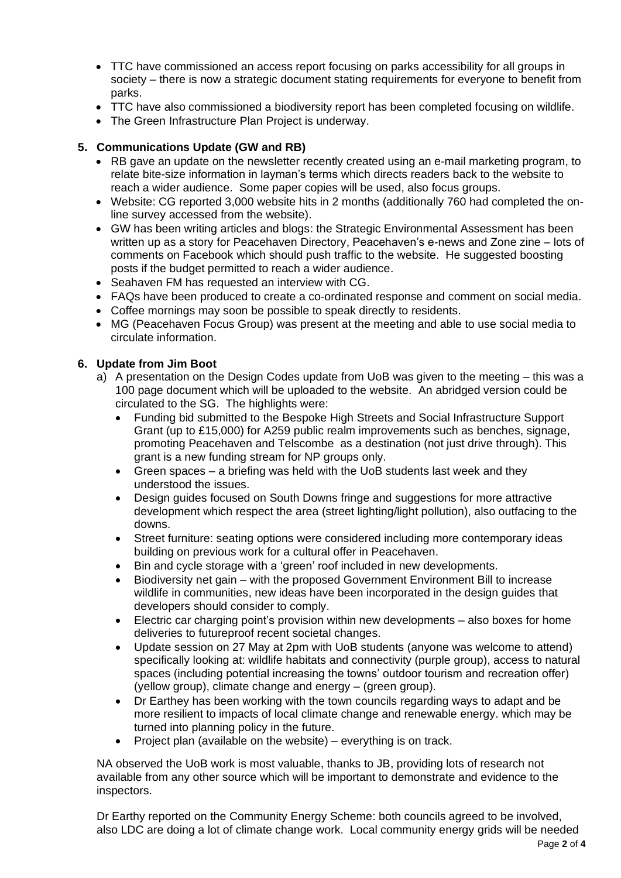- TTC have commissioned an access report focusing on parks accessibility for all groups in society – there is now a strategic document stating requirements for everyone to benefit from parks.
- TTC have also commissioned a biodiversity report has been completed focusing on wildlife.
- The Green Infrastructure Plan Project is underway.

# **5. Communications Update (GW and RB)**

- RB gave an update on the newsletter recently created using an e-mail marketing program, to relate bite-size information in layman's terms which directs readers back to the website to reach a wider audience. Some paper copies will be used, also focus groups.
- Website: CG reported 3,000 website hits in 2 months (additionally 760 had completed the online survey accessed from the website).
- GW has been writing articles and blogs: the Strategic Environmental Assessment has been written up as a story for Peacehaven Directory, Peacehaven's e-news and Zone zine – lots of comments on Facebook which should push traffic to the website. He suggested boosting posts if the budget permitted to reach a wider audience.
- Seahaven FM has requested an interview with CG.
- FAQs have been produced to create a co-ordinated response and comment on social media.
- Coffee mornings may soon be possible to speak directly to residents.
- MG (Peacehaven Focus Group) was present at the meeting and able to use social media to circulate information.

# **6. Update from Jim Boot**

- a) A presentation on the Design Codes update from UoB was given to the meeting this was a 100 page document which will be uploaded to the website. An abridged version could be circulated to the SG. The highlights were:
	- Funding bid submitted to the Bespoke High Streets and Social Infrastructure Support Grant (up to £15,000) for A259 public realm improvements such as benches, signage, promoting Peacehaven and Telscombe as a destination (not just drive through). This grant is a new funding stream for NP groups only.
	- Green spaces a briefing was held with the UoB students last week and they understood the issues.
	- Design guides focused on South Downs fringe and suggestions for more attractive development which respect the area (street lighting/light pollution), also outfacing to the downs.
	- Street furniture: seating options were considered including more contemporary ideas building on previous work for a cultural offer in Peacehaven.
	- Bin and cycle storage with a 'green' roof included in new developments.
	- Biodiversity net gain with the proposed Government Environment Bill to increase wildlife in communities, new ideas have been incorporated in the design guides that developers should consider to comply.
	- Electric car charging point's provision within new developments also boxes for home deliveries to futureproof recent societal changes.
	- Update session on 27 May at 2pm with UoB students (anyone was welcome to attend) specifically looking at: wildlife habitats and connectivity (purple group), access to natural spaces (including potential increasing the towns' outdoor tourism and recreation offer) (yellow group), climate change and energy – (green group).
	- Dr Earthey has been working with the town councils regarding ways to adapt and be more resilient to impacts of local climate change and renewable energy. which may be turned into planning policy in the future.
	- Project plan (available on the website) everything is on track.

NA observed the UoB work is most valuable, thanks to JB, providing lots of research not available from any other source which will be important to demonstrate and evidence to the inspectors.

Dr Earthy reported on the Community Energy Scheme: both councils agreed to be involved, also LDC are doing a lot of climate change work. Local community energy grids will be needed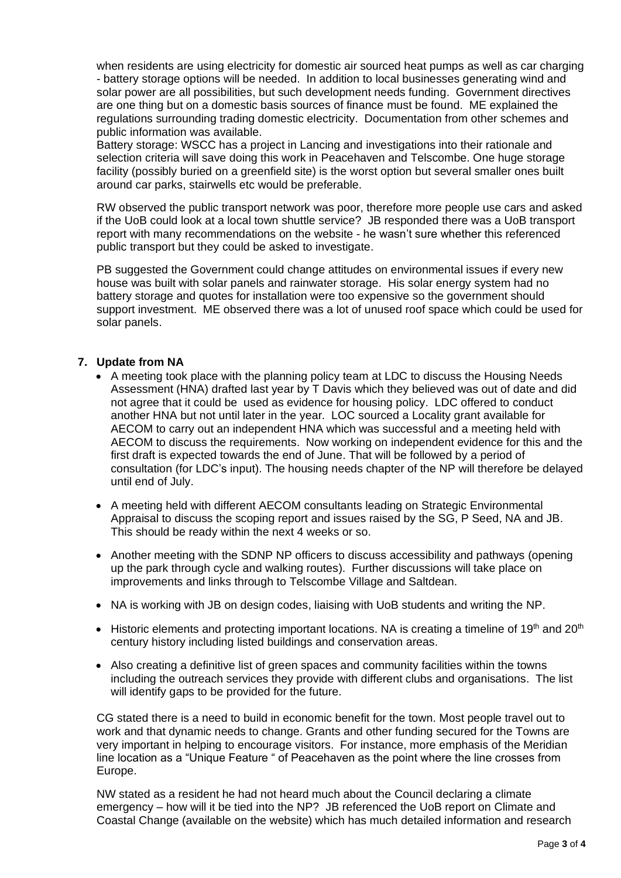when residents are using electricity for domestic air sourced heat pumps as well as car charging - battery storage options will be needed. In addition to local businesses generating wind and solar power are all possibilities, but such development needs funding. Government directives are one thing but on a domestic basis sources of finance must be found. ME explained the regulations surrounding trading domestic electricity. Documentation from other schemes and public information was available.

Battery storage: WSCC has a project in Lancing and investigations into their rationale and selection criteria will save doing this work in Peacehaven and Telscombe. One huge storage facility (possibly buried on a greenfield site) is the worst option but several smaller ones built around car parks, stairwells etc would be preferable.

RW observed the public transport network was poor, therefore more people use cars and asked if the UoB could look at a local town shuttle service? JB responded there was a UoB transport report with many recommendations on the website - he wasn't sure whether this referenced public transport but they could be asked to investigate.

PB suggested the Government could change attitudes on environmental issues if every new house was built with solar panels and rainwater storage. His solar energy system had no battery storage and quotes for installation were too expensive so the government should support investment. ME observed there was a lot of unused roof space which could be used for solar panels.

# **7. Update from NA**

- A meeting took place with the planning policy team at LDC to discuss the Housing Needs Assessment (HNA) drafted last year by T Davis which they believed was out of date and did not agree that it could be used as evidence for housing policy. LDC offered to conduct another HNA but not until later in the year. LOC sourced a Locality grant available for AECOM to carry out an independent HNA which was successful and a meeting held with AECOM to discuss the requirements. Now working on independent evidence for this and the first draft is expected towards the end of June. That will be followed by a period of consultation (for LDC's input). The housing needs chapter of the NP will therefore be delayed until end of July.
- A meeting held with different AECOM consultants leading on Strategic Environmental Appraisal to discuss the scoping report and issues raised by the SG, P Seed, NA and JB. This should be ready within the next 4 weeks or so.
- Another meeting with the SDNP NP officers to discuss accessibility and pathways (opening up the park through cycle and walking routes). Further discussions will take place on improvements and links through to Telscombe Village and Saltdean.
- NA is working with JB on design codes, liaising with UoB students and writing the NP.
- Historic elements and protecting important locations. NA is creating a timeline of 19<sup>th</sup> and 20<sup>th</sup> century history including listed buildings and conservation areas.
- Also creating a definitive list of green spaces and community facilities within the towns including the outreach services they provide with different clubs and organisations. The list will identify gaps to be provided for the future.

CG stated there is a need to build in economic benefit for the town. Most people travel out to work and that dynamic needs to change. Grants and other funding secured for the Towns are very important in helping to encourage visitors. For instance, more emphasis of the Meridian line location as a "Unique Feature " of Peacehaven as the point where the line crosses from Europe.

NW stated as a resident he had not heard much about the Council declaring a climate emergency – how will it be tied into the NP? JB referenced the UoB report on Climate and Coastal Change (available on the website) which has much detailed information and research